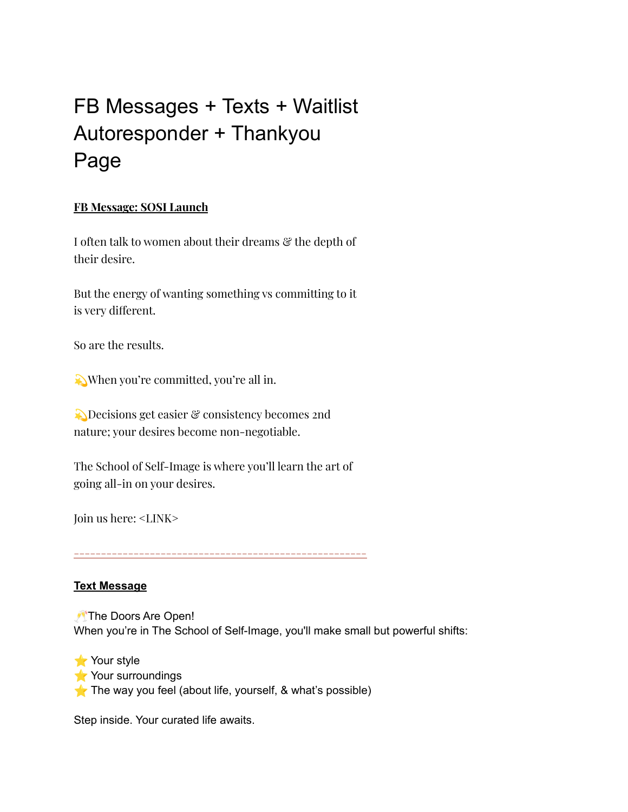# FB Messages + Texts + Waitlist Autoresponder + Thankyou Page

### **FB Message: SOSI Launch**

I often talk to women about their dreams  $\mathcal{C}$  the depth of their desire.

But the energy of wanting something vs committing to it is very different.

So are the results.

When you're committed, you're all in.

Decisions get easier & consistency becomes 2nd nature; your desires become non-negotiable.

The School of Self-Image is where you'll learn the art of going all-in on your desires.

Join us here: <LINK>

**------------------------------------------------------**

#### **Text Message**

The Doors Are Open! When you're in The School of Self-Image, you'll make small but powerful shifts:

Your style ⭐ Your surroundings The way you feel (about life, yourself,  $\&$  what's possible)

Step inside. Your curated life awaits.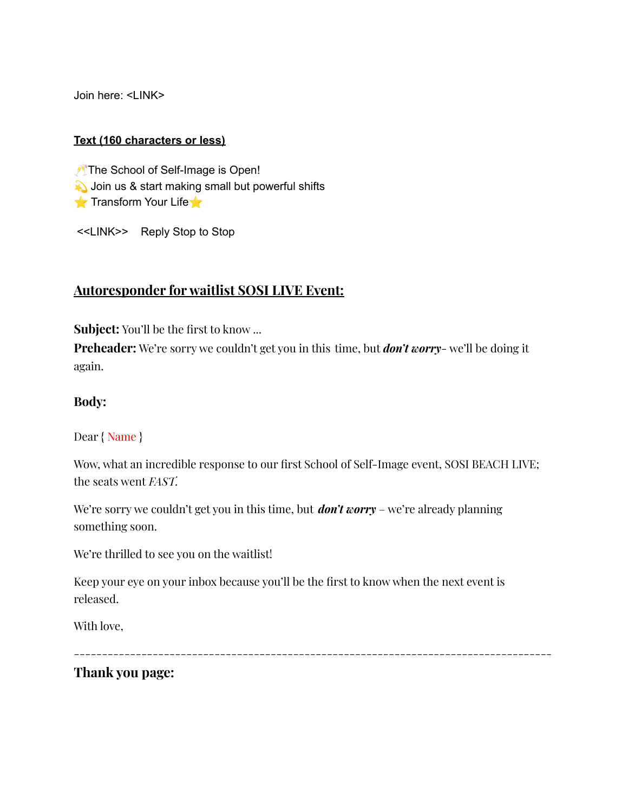Join here: <LINK>

#### **Text (160 characters or less)**

The School of Self-Image is Open! Join us & start making small but powerful shifts  $\blacktriangleright$  Transform Your Life $\blacktriangleright$ 

<<LINK>> Reply Stop to Stop

## **Autoresponder for waitlist SOSI LIVE Event:**

**Subject:** You'll be the first to know ...

**Preheader:** We're sorry we couldn't get you in this time, but *don't worry*- we'll be doing it again.

#### **Body:**

Dear { Name }

Wow, what an incredible response to our first School of Self-Image event, SOSI BEACH LIVE; the seats went *FAST.*

We're sorry we couldn't get you in this time, but *don't worry* – we're already planning something soon.

We're thrilled to see you on the waitlist!

Keep your eye on your inbox because you'll be the first to know when the next event is released.

With love,

-------------------------------------------------------------------------------------

**Thank you page:**